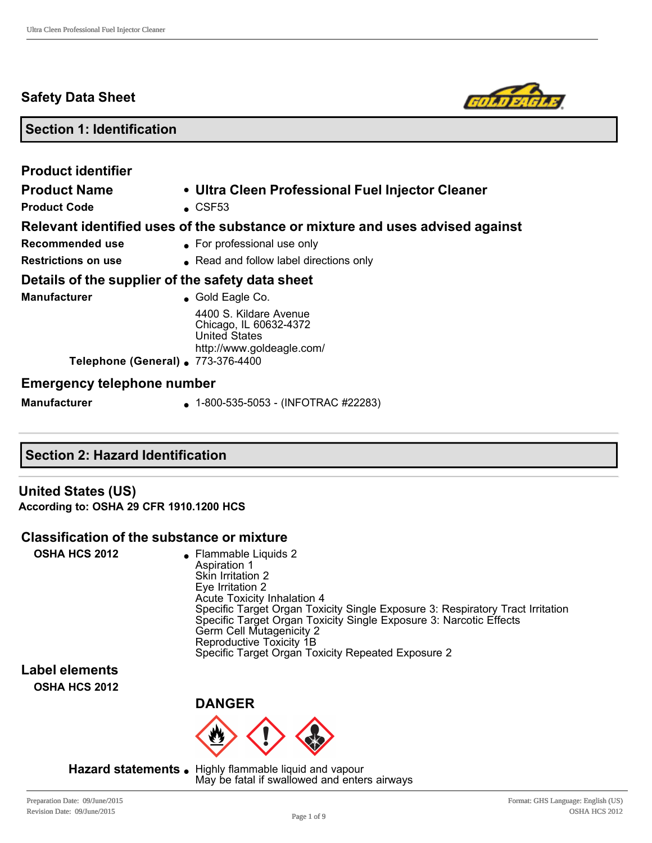## **Safety Data Sheet**



## **Section 1: Identification**

| <b>Product identifier</b><br><b>Product Name</b><br><b>Product Code</b>        | • Ultra Cleen Professional Fuel Injector Cleaner<br>$\textdegree$ CSF53                                                           |
|--------------------------------------------------------------------------------|-----------------------------------------------------------------------------------------------------------------------------------|
| Recommended use                                                                | Relevant identified uses of the substance or mixture and uses advised against<br>• For professional use only                      |
| <b>Restrictions on use</b><br>Details of the supplier of the safety data sheet | • Read and follow label directions only                                                                                           |
| <b>Manufacturer</b>                                                            | $\bullet$ Gold Eagle Co.<br>4400 S. Kildare Avenue<br>Chicago, IL 60632-4372<br><b>United States</b><br>http://www.goldeagle.com/ |
| Telephone (General) . 773-376-4400                                             |                                                                                                                                   |
| <b>Emergency telephone number</b><br><b>Manufacturer</b>                       | $\bullet$ 1-800-535-5053 - (INFOTRAC #22283)                                                                                      |

## **Section 2: Hazard Identification**

**United States (US) According to: OSHA 29 CFR 1910.1200 HCS**

#### **Classification of the substance or mixture**

| <b>OSHA HCS 2012</b><br>• Flammable Liquids 2<br>Aspiration 1<br>Skin Irritation 2<br>Eye Irritation 2<br>Acute Toxicity Inhalation 4<br>Specific Target Organ Toxicity Single Exposure 3: Respiratory Tract Irritation<br>Specific Target Organ Toxicity Single Exposure 3: Narcotic Effects<br>Germ Cell Mutagenicity 2<br>Reproductive Toxicity 1B<br>Specific Target Organ Toxicity Repeated Exposure 2 |  |
|-------------------------------------------------------------------------------------------------------------------------------------------------------------------------------------------------------------------------------------------------------------------------------------------------------------------------------------------------------------------------------------------------------------|--|
|-------------------------------------------------------------------------------------------------------------------------------------------------------------------------------------------------------------------------------------------------------------------------------------------------------------------------------------------------------------------------------------------------------------|--|

**Label elements OSHA HCS 2012**



Hazard statements . Highly flammable liquid and vapour May be fatal if swallowed and enters airways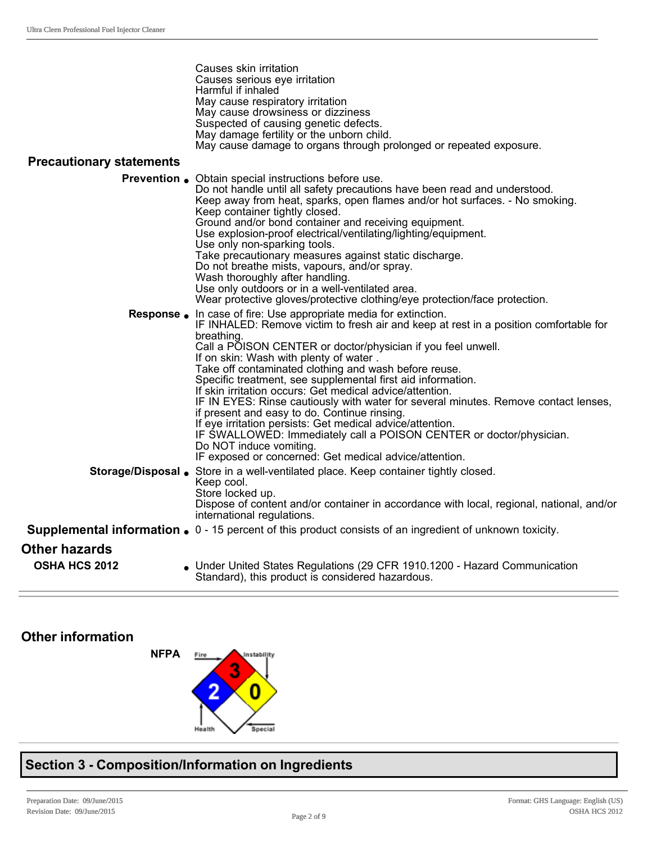|                                 | Causes skin irritation<br>Causes serious eye irritation                                                                |
|---------------------------------|------------------------------------------------------------------------------------------------------------------------|
|                                 | Harmful if inhaled                                                                                                     |
|                                 | May cause respiratory irritation                                                                                       |
|                                 | May cause drowsiness or dizziness                                                                                      |
|                                 | Suspected of causing genetic defects.<br>May damage fertility or the unborn child.                                     |
|                                 | May cause damage to organs through prolonged or repeated exposure.                                                     |
| <b>Precautionary statements</b> |                                                                                                                        |
|                                 | <b>Prevention</b> • Obtain special instructions before use.                                                            |
|                                 | Do not handle until all safety precautions have been read and understood.                                              |
|                                 | Keep away from heat, sparks, open flames and/or hot surfaces. - No smoking.<br>Keep container tightly closed.          |
|                                 | Ground and/or bond container and receiving equipment.                                                                  |
|                                 | Use explosion-proof electrical/ventilating/lighting/equipment.                                                         |
|                                 | Use only non-sparking tools.                                                                                           |
|                                 | Take precautionary measures against static discharge.                                                                  |
|                                 | Do not breathe mists, vapours, and/or spray.<br>Wash thoroughly after handling.                                        |
|                                 | Use only outdoors or in a well-ventilated area.                                                                        |
|                                 | Wear protective gloves/protective clothing/eye protection/face protection.                                             |
|                                 | <b>Response</b> . In case of fire: Use appropriate media for extinction.                                               |
|                                 | IF INHALED: Remove victim to fresh air and keep at rest in a position comfortable for                                  |
|                                 | breathing.                                                                                                             |
|                                 | Call a POISON CENTER or doctor/physician if you feel unwell.                                                           |
|                                 | If on skin: Wash with plenty of water.<br>Take off contaminated clothing and wash before reuse.                        |
|                                 | Specific treatment, see supplemental first aid information.                                                            |
|                                 | If skin irritation occurs: Get medical advice/attention.                                                               |
|                                 | IF IN EYES: Rinse cautiously with water for several minutes. Remove contact lenses,                                    |
|                                 | if present and easy to do. Continue rinsing.                                                                           |
|                                 | If eye irritation persists: Get medical advice/attention.                                                              |
|                                 | IF SWALLOWED: Immediately call a POISON CENTER or doctor/physician.<br>Do NOT induce vomiting.                         |
|                                 | IF exposed or concerned: Get medical advice/attention.                                                                 |
|                                 | Storage/Disposal . Store in a well-ventilated place. Keep container tightly closed.                                    |
|                                 | Keep cool.                                                                                                             |
|                                 | Store locked up.                                                                                                       |
|                                 | Dispose of content and/or container in accordance with local, regional, national, and/or<br>international regulations. |
|                                 | <b>Supplemental information.</b> $0 - 15$ percent of this product consists of an ingredient of unknown toxicity.       |
| <b>Other hazards</b>            |                                                                                                                        |
| <b>OSHA HCS 2012</b>            | Under United States Regulations (29 CFR 1910.1200 - Hazard Communication                                               |
|                                 | Standard), this product is considered hazardous.                                                                       |

## **Other information**



# **Section 3 Composition/Information on Ingredients**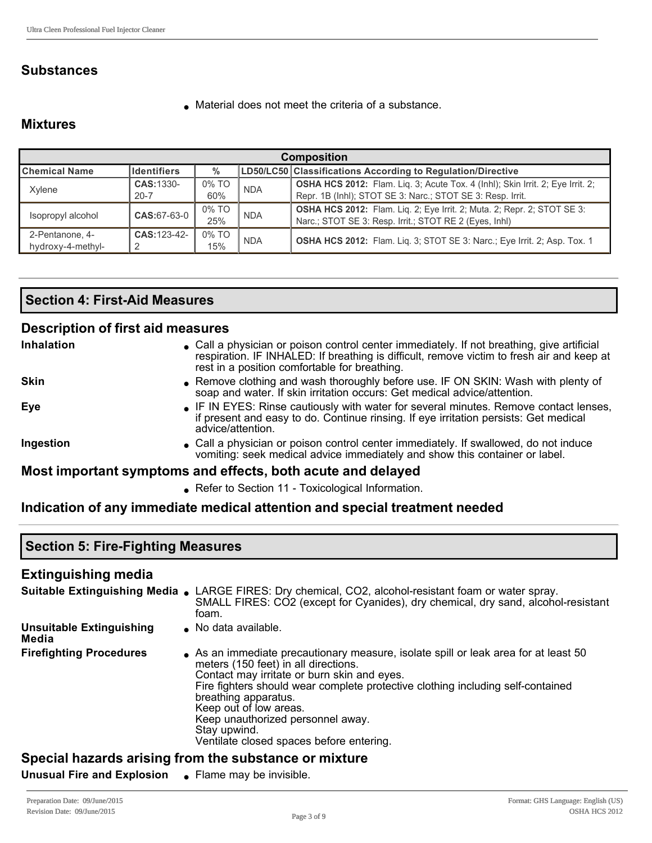## **Substances**

 $\bullet$  Material does not meet the criteria of a substance.

## **Mixtures**

| <b>Composition</b>   |                    |                     |            |                                                                                |
|----------------------|--------------------|---------------------|------------|--------------------------------------------------------------------------------|
| <b>Chemical Name</b> | <b>Identifiers</b> | $\frac{0}{0}$       |            | LD50/LC50 Classifications According to Regulation/Directive                    |
| Xylene               | CAS: 1330-         | 0% TO               | <b>NDA</b> | OSHA HCS 2012: Flam. Liq. 3; Acute Tox. 4 (lnhl); Skin Irrit. 2; Eye Irrit. 2; |
|                      | $20 - 7$           | 60%                 |            | Repr. 1B (Inhl); STOT SE 3: Narc.; STOT SE 3: Resp. Irrit.                     |
| Isopropyl alcohol    | $CAS:67-63-0$      | 0% TO               | <b>NDA</b> | <b>OSHA HCS 2012:</b> Flam. Lig. 2; Eye Irrit. 2; Muta. 2; Repr. 2; STOT SE 3: |
|                      |                    | 25%                 |            | Narc.; STOT SE 3: Resp. Irrit.; STOT RE 2 (Eyes, Inhl)                         |
| 2-Pentanone, 4-      | CAS: 123-42-       | 0% TO<br><b>NDA</b> |            | OSHA HCS 2012: Flam. Liq. 3; STOT SE 3: Narc.; Eye Irrit. 2; Asp. Tox. 1       |
| hydroxy-4-methyl-    |                    | 15%                 |            |                                                                                |

## **Section 4: First-Aid Measures**

## **Description of first aid measures**

| <b>Inhalation</b>                                           | • Call a physician or poison control center immediately. If not breathing, give artificial<br>respiration. IF INHALED: If breathing is difficult, remove victim to fresh air and keep at<br>rest in a position comfortable for breathing. |  |
|-------------------------------------------------------------|-------------------------------------------------------------------------------------------------------------------------------------------------------------------------------------------------------------------------------------------|--|
| <b>Skin</b>                                                 | • Remove clothing and wash thoroughly before use. IF ON SKIN: Wash with plenty of<br>soap and water. If skin irritation occurs: Get medical advice/attention.                                                                             |  |
| Eye                                                         | • IF IN EYES: Rinse cautiously with water for several minutes. Remove contact lenses,<br>if present and easy to do. Continue rinsing. If eye irritation persists: Get medical<br>advice/attention.                                        |  |
| Ingestion                                                   | • Call a physician or poison control center immediately. If swallowed, do not induce<br>vomiting: seek medical advice immediately and show this container or label.                                                                       |  |
| Most important symptoms and effects, both acute and delayed |                                                                                                                                                                                                                                           |  |

• Refer to Section 11 - Toxicological Information.

## **Indication of any immediate medical attention and special treatment needed**

| <b>Section 5: Fire-Fighting Measures</b> |                                                                                                                                                                                                                                                                                                                                                                                                                |  |  |  |
|------------------------------------------|----------------------------------------------------------------------------------------------------------------------------------------------------------------------------------------------------------------------------------------------------------------------------------------------------------------------------------------------------------------------------------------------------------------|--|--|--|
| <b>Extinguishing media</b>               |                                                                                                                                                                                                                                                                                                                                                                                                                |  |  |  |
|                                          | <b>Suitable Extinguishing Media .</b> LARGE FIRES: Dry chemical, CO2, alcohol-resistant foam or water spray.<br>SMALL FIRES: CO2 (except for Cyanides), dry chemical, dry sand, alcohol-resistant<br>foam.                                                                                                                                                                                                     |  |  |  |
| <b>Unsuitable Extinguishing</b><br>Media | • No data available.                                                                                                                                                                                                                                                                                                                                                                                           |  |  |  |
| <b>Firefighting Procedures</b>           | As an immediate precautionary measure, isolate spill or leak area for at least 50<br>meters (150 feet) in all directions.<br>Contact may irritate or burn skin and eyes.<br>Fire fighters should wear complete protective clothing including self-contained<br>breathing apparatus.<br>Keep out of low areas.<br>Keep unauthorized personnel away.<br>Stay upwind.<br>Ventilate closed spaces before entering. |  |  |  |
|                                          | Spocial hazarde arising from the substance or mixture                                                                                                                                                                                                                                                                                                                                                          |  |  |  |

#### **Special hazards arising from the substance or mixture**

**Unusual Fire and Explosion** • Flame may be invisible.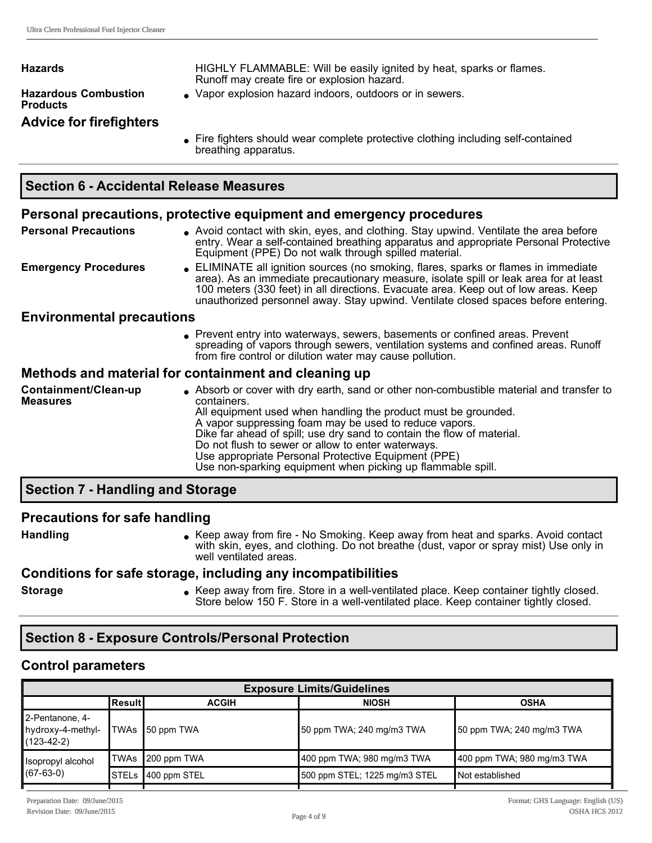| Hazards                                        | HIGHLY FLAMMABLE: Will be easily ignited by heat, sparks or flames.<br>Runoff may create fire or explosion hazard. |
|------------------------------------------------|--------------------------------------------------------------------------------------------------------------------|
| <b>Hazardous Combustion</b><br><b>Products</b> | • Vapor explosion hazard indoors, outdoors or in sewers.                                                           |
| <b>Advice for firefighters</b>                 | Fine Colebrate ale estable concernational contractive adaptation in also dinner and annotational                   |

Fire fighters should wear complete protective clothing including self-contained breathing apparatus.

#### **Personal precautions, protective equipment and emergency procedures**

**Personal Precautions** . Avoid contact with skin, eyes, and clothing. Stay upwind. Ventilate the area before entry. Wear a self-contained breathing apparatus and appropriate Personal Protective Equipment (PPE) Do not walk through spilled material. **Emergency Procedures** . ELIMINATE all ignition sources (no smoking, flares, sparks or flames in immediate area). As an immediate precautionary measure, isolate spill or leak area for at least 100 meters (330 feet) in all directions. Evacuate area. Keep out of low areas. Keep unauthorized personnel away. Stay upwind. Ventilate closed spaces before entering. **Environmental precautions Prevent entry into waterways, sewers, basements or confined areas. Prevent** spreading of vapors through sewers, ventilation systems and confined areas. Runoff from fire control or dilution water may cause pollution. **Methods and material for containment and cleaning up Containment/Clean-up Measures** <sup>l</sup> Absorb or cover with dry earth, sand or other noncombustible material and transfer to containers. All equipment used when handling the product must be grounded. A vapor suppressing foam may be used to reduce vapors. Dike far ahead of spill; use dry sand to contain the flow of material. Do not flush to sewer or allow to enter waterways. Use appropriate Personal Protective Equipment (PPE) Use non-sparking equipment when picking up flammable spill.

## **Section 7 Handling and Storage**

#### **Precautions for safe handling**

Handling **letting Reep away from fire - No Smoking. Keep away from heat and sparks. Avoid contact and sparks. Avoid contact** with skin, eyes, and clothing. Do not breathe (dust, vapor or spray mist) Use only in well ventilated areas.

#### **Conditions for safe storage, including any incompatibilities**

**Storage lace in American Cheep away from fire.** Store in a well-ventilated place. Keep container tightly closed. Store below 150 F. Store in a well-ventilated place. Keep container tightly closed.

## **Section 8 Exposure Controls/Personal Protection**

#### **Control parameters**

| <b>Exposure Limits/Guidelines</b>                  |           |                          |                               |                            |
|----------------------------------------------------|-----------|--------------------------|-------------------------------|----------------------------|
|                                                    | ∣Result I | <b>ACGIH</b>             | <b>NIOSH</b>                  | <b>OSHA</b>                |
| 2-Pentanone, 4-<br>hydroxy-4-methyl-<br>(123-42-2) |           | TWAs <b> </b> 50 ppm TWA | 50 ppm TWA; 240 mg/m3 TWA     | 50 ppm TWA; 240 mg/m3 TWA  |
| Isopropyl alcohol                                  |           | TWAs 200 ppm TWA         | 400 ppm TWA: 980 mg/m3 TWA    | 400 ppm TWA; 980 mg/m3 TWA |
| $(67-63-0)$                                        |           | STELs 1400 ppm STEL      | 500 ppm STEL; 1225 mg/m3 STEL | Not established            |
|                                                    |           |                          |                               |                            |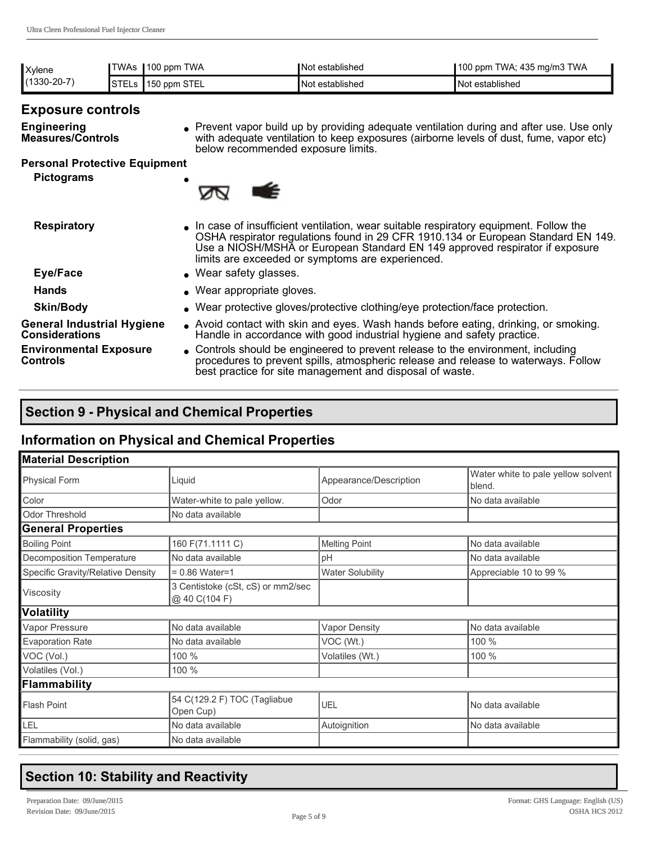| Xylene        | TWAs .       | $\parallel$ 100 ppm TWA | Not established        | 100 ppm TWA; 435 mg/m3 TWA |
|---------------|--------------|-------------------------|------------------------|----------------------------|
| $(1330-20-7)$ | <b>STELs</b> | <b>150 ppm STEL</b>     | <b>Not established</b> | Not established            |

## **Exposure controls**

**Engineering Measures/Controls** • Prevent vapor build up by providing adequate ventilation during and after use. Use only with adequate ventilation to keep exposures (airborne levels of dust, fume, vapor etc) below recommended exposure limits.

### **Personal Protective Equipment**

**Pictograms** 



- **Respiratory Respiratory li** In case of insufficient ventilation, wear suitable respiratory equipment. Follow the OSHA respirator regulations found in 29 CFR 1910.134 or European Standard EN 149. Use a NIOSH/MSHA or European Standard EN 149 approved respirator if exposure limits are exceeded or symptoms are experienced.
- **Eye/Face a l** Wear safety glasses.
- 

- Hands **Mands lands lands lands lands lands lands lands lands lands lands lands lands lands lands lands lands lands lands lands lands lands lands lands lands lands lands**
- **Skin/Body lace in Wear protective gloves/protective clothing/eye protection/face protection.**

**General Industrial Hygiene Considerations Environmental Exposure Controls**

- <sup>l</sup> Avoid contact with skin and eyes. Wash hands before eating, drinking, or smoking. Handle in accordance with good industrial hygiene and safety practice.
- <sup>l</sup> Controls should be engineered to prevent release to the environment, including procedures to prevent spills, atmospheric release and release to waterways. Follow best practice for site management and disposal of waste.

## **Section 9 Physical and Chemical Properties**

## **Information on Physical and Chemical Properties**

| <b>Material Description</b>       |                                                    |                         |                                              |  |
|-----------------------------------|----------------------------------------------------|-------------------------|----------------------------------------------|--|
| Physical Form                     | Liquid                                             | Appearance/Description  | Water white to pale yellow solvent<br>blend. |  |
| Color                             | Water-white to pale yellow.                        | Odor                    | No data available                            |  |
| Odor Threshold                    | No data available                                  |                         |                                              |  |
| <b>General Properties</b>         |                                                    |                         |                                              |  |
| <b>Boiling Point</b>              | 160 F(71.1111 C)                                   | <b>Melting Point</b>    | No data available                            |  |
| Decomposition Temperature         | No data available                                  | pH                      | No data available                            |  |
| Specific Gravity/Relative Density | $= 0.86$ Water=1                                   | <b>Water Solubility</b> | Appreciable 10 to 99 %                       |  |
| <b>Viscosity</b>                  | 3 Centistoke (cSt, cS) or mm2/sec<br>@ 40 C(104 F) |                         |                                              |  |
| Volatility                        |                                                    |                         |                                              |  |
| Vapor Pressure                    | No data available                                  | <b>Vapor Density</b>    | No data available                            |  |
| <b>Evaporation Rate</b>           | No data available                                  | VOC (Wt.)               | 100 %                                        |  |
| VOC (Vol.)                        | 100 %                                              | Volatiles (Wt.)         | 100 %                                        |  |
| Volatiles (Vol.)                  | 100 %                                              |                         |                                              |  |
| Flammability                      |                                                    |                         |                                              |  |
| Flash Point                       | 54 C(129.2 F) TOC (Tagliabue<br>Open Cup)          | UEL                     | No data available                            |  |
| LEL                               | No data available                                  | Autoignition            | No data available                            |  |
| Flammability (solid, gas)         | No data available                                  |                         |                                              |  |

## **Section 10: Stability and Reactivity**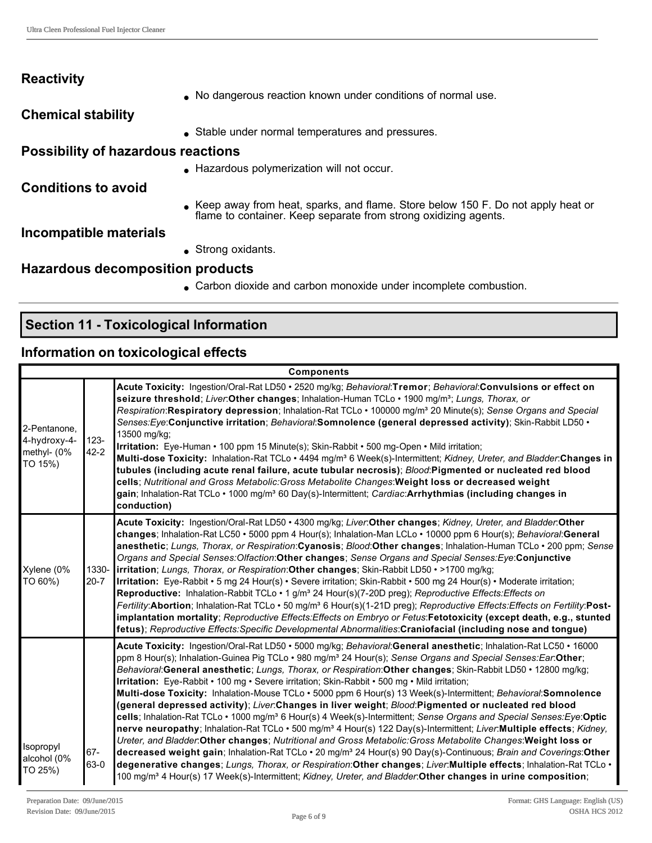| <b>Reactivity</b>                         |                                                                                                                                                    |
|-------------------------------------------|----------------------------------------------------------------------------------------------------------------------------------------------------|
|                                           | No dangerous reaction known under conditions of normal use.                                                                                        |
| <b>Chemical stability</b>                 |                                                                                                                                                    |
|                                           | • Stable under normal temperatures and pressures.                                                                                                  |
| <b>Possibility of hazardous reactions</b> |                                                                                                                                                    |
|                                           | Hazardous polymerization will not occur.                                                                                                           |
| <b>Conditions to avoid</b>                |                                                                                                                                                    |
|                                           | Keep away from heat, sparks, and flame. Store below 150 F. Do not apply heat or<br>flame to container. Keep separate from strong oxidizing agents. |
| Incompatible materials                    |                                                                                                                                                    |
|                                           | $\bullet$ Strong oxidants.                                                                                                                         |
| Hazardous decomposition products          |                                                                                                                                                    |
|                                           | • Carbon dioxide and carbon monoxide under incomplete combustion.                                                                                  |

# **Section 11 Toxicological Information**

## **Information on toxicological effects**

|                                                        | <b>Components</b>   |                                                                                                                                                                                                                                                                                                                                                                                                                                                                                                                                                                                                                                                                                                                                                                                                                                                                                                                                                                                                                                                                                                                                                                                                                                                                                                                                                                                                                                                                    |  |  |  |
|--------------------------------------------------------|---------------------|--------------------------------------------------------------------------------------------------------------------------------------------------------------------------------------------------------------------------------------------------------------------------------------------------------------------------------------------------------------------------------------------------------------------------------------------------------------------------------------------------------------------------------------------------------------------------------------------------------------------------------------------------------------------------------------------------------------------------------------------------------------------------------------------------------------------------------------------------------------------------------------------------------------------------------------------------------------------------------------------------------------------------------------------------------------------------------------------------------------------------------------------------------------------------------------------------------------------------------------------------------------------------------------------------------------------------------------------------------------------------------------------------------------------------------------------------------------------|--|--|--|
| 2-Pentanone,<br>4-hydroxy-4-<br>methyl- (0%<br>TO 15%) | $123 -$<br>$42 - 2$ | Acute Toxicity: Ingestion/Oral-Rat LD50 • 2520 mg/kg; Behavioral:Tremor; Behavioral:Convulsions or effect on<br>seizure threshold; Liver:Other changes; Inhalation-Human TCLo · 1900 mg/m <sup>3</sup> ; Lungs, Thorax, or<br>Respiration:Respiratory depression; Inhalation-Rat TCLo · 100000 mg/m <sup>3</sup> 20 Minute(s); Sense Organs and Special<br>Senses: Eye: Conjunctive irritation; Behavioral: Somnolence (general depressed activity); Skin-Rabbit LD50 .<br>13500 mg/kg;<br>Irritation: Eye-Human • 100 ppm 15 Minute(s); Skin-Rabbit • 500 mg-Open • Mild irritation;<br>Multi-dose Toxicity: Inhalation-Rat TCLo · 4494 mg/m <sup>3</sup> 6 Week(s)-Intermittent; Kidney, Ureter, and Bladder: Changes in<br>tubules (including acute renal failure, acute tubular necrosis); Blood:Pigmented or nucleated red blood<br>cells; Nutritional and Gross Metabolic: Gross Metabolite Changes: Weight loss or decreased weight<br>gain; Inhalation-Rat TCLo · 1000 mg/m <sup>3</sup> 60 Day(s)-Intermittent; Cardiac: Arrhythmias (including changes in<br>conduction)                                                                                                                                                                                                                                                                                                                                                                                 |  |  |  |
| Xylene (0%<br>TO 60%)                                  | 1330-<br>$20 - 7$   | Acute Toxicity: Ingestion/Oral-Rat LD50 · 4300 mg/kg; Liver:Other changes; Kidney, Ureter, and Bladder:Other<br>changes; Inhalation-Rat LC50 • 5000 ppm 4 Hour(s); Inhalation-Man LCLo • 10000 ppm 6 Hour(s); Behavioral:General<br>anesthetic; Lungs, Thorax, or Respiration:Cyanosis; Blood:Other changes; Inhalation-Human TCLo • 200 ppm; Sense<br>Organs and Special Senses: Olfaction: Other changes; Sense Organs and Special Senses: Eye: Conjunctive<br> irritation; Lungs, Thorax, or Respiration: Other changes; Skin-Rabbit LD50 • >1700 mg/kg;<br>Irritation: Eye-Rabbit • 5 mg 24 Hour(s) • Severe irritation; Skin-Rabbit • 500 mg 24 Hour(s) • Moderate irritation;<br><b>Reproductive:</b> Inhalation-Rabbit TCLo • 1 g/m <sup>3</sup> 24 Hour(s)(7-20D preg); Reproductive Effects: Effects on<br>Fertility: Abortion; Inhalation-Rat TCLo · 50 mg/m <sup>3</sup> 6 Hour(s)(1-21D preg); Reproductive Effects: Effects on Fertility: Post-<br>implantation mortality; Reproductive Effects: Effects on Embryo or Fetus: Fetotoxicity (except death, e.g., stunted<br>fetus); Reproductive Effects: Specific Developmental Abnormalities: Craniofacial (including nose and tongue)                                                                                                                                                                                                                                                                |  |  |  |
| Isopropyl<br>alcohol (0%<br>TO 25%)                    | 67-<br>63-0         | Acute Toxicity: Ingestion/Oral-Rat LD50 · 5000 mg/kg; Behavioral:General anesthetic; Inhalation-Rat LC50 · 16000<br>ppm 8 Hour(s); Inhalation-Guinea Pig TCLo • 980 mg/m <sup>3</sup> 24 Hour(s); Sense Organs and Special Senses:Ear:Other;<br>Behavioral:General anesthetic; Lungs, Thorax, or Respiration:Other changes; Skin-Rabbit LD50 · 12800 mg/kg;<br>Irritation: Eye-Rabbit • 100 mg • Severe irritation; Skin-Rabbit • 500 mg • Mild irritation;<br>Multi-dose Toxicity: Inhalation-Mouse TCLo • 5000 ppm 6 Hour(s) 13 Week(s)-Intermittent; Behavioral:Somnolence<br>(general depressed activity); Liver:Changes in liver weight; Blood:Pigmented or nucleated red blood<br>cells; Inhalation-Rat TCLo · 1000 mg/m <sup>3</sup> 6 Hour(s) 4 Week(s)-Intermittent; Sense Organs and Special Senses: Eye: Optic<br>nerve neuropathy; Inhalation-Rat TCLo · 500 mg/m <sup>3</sup> 4 Hour(s) 122 Day(s)-Intermittent; Liver:Multiple effects; Kidney,<br>Ureter, and Bladder. Other changes; Nutritional and Gross Metabolic: Gross Metabolite Changes: Weight loss or<br>decreased weight gain; Inhalation-Rat TCLo · 20 mg/m <sup>3</sup> 24 Hour(s) 90 Day(s)-Continuous; Brain and Coverings: Other<br>degenerative changes; Lungs, Thorax, or Respiration: Other changes; Liver: Multiple effects; Inhalation-Rat TCLo .<br>100 mg/m <sup>3</sup> 4 Hour(s) 17 Week(s)-Intermittent; Kidney, Ureter, and Bladder: Other changes in urine composition; |  |  |  |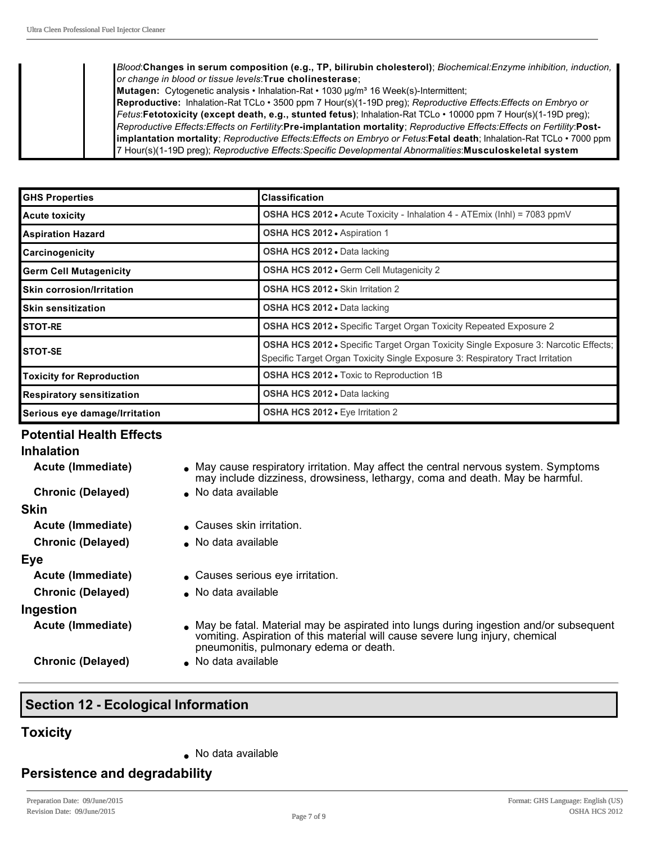*Blood*:**Changes in serum composition (e.g., TP, bilirubin cholesterol)**; *Biochemical:Enzyme inhibition, induction, or change in blood or tissue levels*:**True cholinesterase**;

**Mutagen:** Cytogenetic analysis • Inhalation-Rat • 1030 µg/m<sup>3</sup> 16 Week(s)-Intermittent;

Reproductive: Inhalation-Rat TCLo · 3500 ppm 7 Hour(s)(1-19D preg); *Reproductive Effects:Effects on Embryo or Fetus*:**Fetotoxicity** (except death, e.g., stunted fetus); Inhalation-Rat TCLo • 10000 ppm 7 Hour(s)(1-19D preg); Reproductive Effects: Effects on Fertility: Pre-implantation mortality; Reproductive Effects: Effects on Fertility: Post**implantation mortality**; *Reproductive Effects: Effects on Embryo or Fetus*: Fetal death; Inhalation-Rat TCLo · 7000 ppm 7 Hour(s)(119D preg); *Reproductive Effects:Specific Developmental Abnormalities*:**Musculoskeletal system**

| <b>GHS Properties</b>            | <b>Classification</b>                                                                                                                                                        |  |  |
|----------------------------------|------------------------------------------------------------------------------------------------------------------------------------------------------------------------------|--|--|
| Acute toxicity                   | <b>OSHA HCS 2012 •</b> Acute Toxicity - Inhalation 4 - ATEmix (Inhl) = 7083 ppmV                                                                                             |  |  |
| Aspiration Hazard                | <b>OSHA HCS 2012 • Aspiration 1</b>                                                                                                                                          |  |  |
| <b>Carcinogenicity</b>           | OSHA HCS 2012 . Data lacking                                                                                                                                                 |  |  |
| <b>Germ Cell Mutagenicity</b>    | <b>OSHA HCS 2012 • Germ Cell Mutagenicity 2</b>                                                                                                                              |  |  |
| Skin corrosion/Irritation        | <b>OSHA HCS 2012 •</b> Skin Irritation 2                                                                                                                                     |  |  |
| <b>I</b> Skin sensitization      | <b>OSHA HCS 2012 • Data lacking</b>                                                                                                                                          |  |  |
| <b>ISTOT-RE</b>                  | <b>OSHA HCS 2012 •</b> Specific Target Organ Toxicity Repeated Exposure 2                                                                                                    |  |  |
| ISTOT-SE                         | <b>OSHA HCS 2012 •</b> Specific Target Organ Toxicity Single Exposure 3: Narcotic Effects;<br>Specific Target Organ Toxicity Single Exposure 3: Respiratory Tract Irritation |  |  |
| Toxicity for Reproduction        | <b>OSHA HCS 2012 - Toxic to Reproduction 1B</b>                                                                                                                              |  |  |
| <b>Respiratory sensitization</b> | <b>OSHA HCS 2012 • Data lacking</b>                                                                                                                                          |  |  |
| Serious eye damage/Irritation    | OSHA HCS 2012 . Eye Irritation 2                                                                                                                                             |  |  |

#### **Potential Health Effects**

| <b>Inhalation</b>        |                                                                                                                                                                                                                    |
|--------------------------|--------------------------------------------------------------------------------------------------------------------------------------------------------------------------------------------------------------------|
| Acute (Immediate)        | • May cause respiratory irritation. May affect the central nervous system. Symptoms<br>may include dizziness, drowsiness, lethargy, coma and death. May be harmful.                                                |
| <b>Chronic (Delayed)</b> | No data available                                                                                                                                                                                                  |
| Skin                     |                                                                                                                                                                                                                    |
| Acute (Immediate)        | ■ Causes skin irritation.                                                                                                                                                                                          |
| <b>Chronic (Delayed)</b> | $\bullet$ No data available                                                                                                                                                                                        |
| Eye                      |                                                                                                                                                                                                                    |
| Acute (Immediate)        | • Causes serious eye irritation.                                                                                                                                                                                   |
| <b>Chronic (Delayed)</b> | • No data available                                                                                                                                                                                                |
| Ingestion                |                                                                                                                                                                                                                    |
| Acute (Immediate)        | • May be fatal. Material may be aspirated into lungs during ingestion and/or subsequent<br>vomiting. Aspiration of this material will cause severe lung injury, chemical<br>pneumonitis, pulmonary edema or death. |
| <b>Chronic (Delayed)</b> | No data available                                                                                                                                                                                                  |

## **Section 12 - Ecological Information**

## **Toxicity**

 $\bullet$  No data available

## **Persistence and degradability**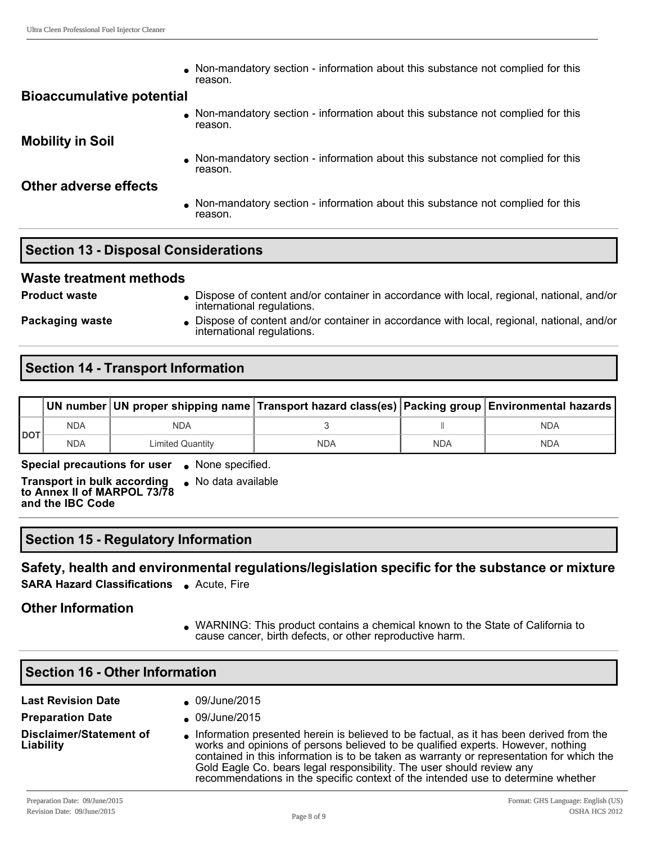$\bullet$  Non-mandatory section - information about this substance not complied for this reason.

#### **Bioaccumulative potential**

• Non-mandatory section - information about this substance not complied for this reason.

**Mobility in Soil**

 $\bullet$  Non-mandatory section - information about this substance not complied for this reason.

## **Other adverse effects**

 $\bullet$  Non-mandatory section - information about this substance not complied for this reason.

## **Section 13 - Disposal Considerations**

#### **Waste treatment methods**

**Product waste label in Andrew Content and/or container in accordance with local, regional, national, and/or content and/or container in accordance with local, regional, national, and/or** international regulations.

**Packaging waste lightly Dispose of content and/or container in accordance with local, regional, national, and/or** international regulations.

## **Section 14 - Transport Information**

|            |            |                         | UN number UN proper shipping name Transport hazard class(es)   Packing group   Environmental hazards |            |            |
|------------|------------|-------------------------|------------------------------------------------------------------------------------------------------|------------|------------|
| <b>DOT</b> | <b>NDA</b> | NDA                     |                                                                                                      |            | <b>NDA</b> |
|            | <b>NDA</b> | <b>Limited Quantity</b> | NDA                                                                                                  | <b>NDA</b> | <b>NDA</b> |

**Special precautions for user** . None specified.

**Transport in bulk according to Annex II of MARPOL 73/78 and the IBC Code**  $\bullet$  No data available

## **Section 15 Regulatory Information**

**Safety, health and environmental regulations/legislation specific for the substance or mixture**

**SARA Hazard Classifications** • Acute, Fire

## **Other Information**

• WARNING: This product contains a chemical known to the State of California to cause cancer, birth defects, or other reproductive harm.

| <b>Section 16 - Other Information</b>       |                                                                                                                                                                                                                                                                                                                                                                                                                                      |  |  |  |
|---------------------------------------------|--------------------------------------------------------------------------------------------------------------------------------------------------------------------------------------------------------------------------------------------------------------------------------------------------------------------------------------------------------------------------------------------------------------------------------------|--|--|--|
| <b>Last Revision Date</b>                   | 09/June/2015                                                                                                                                                                                                                                                                                                                                                                                                                         |  |  |  |
| <b>Preparation Date</b>                     | 09/June/2015                                                                                                                                                                                                                                                                                                                                                                                                                         |  |  |  |
| <b>Disclaimer/Statement of</b><br>Liability | Information presented herein is believed to be factual, as it has been derived from the<br>works and opinions of persons believed to be qualified experts. However, nothing<br>contained in this information is to be taken as warranty or representation for which the<br>Gold Eagle Co. bears legal responsibility. The user should review any<br>recommendations in the specific context of the intended use to determine whether |  |  |  |